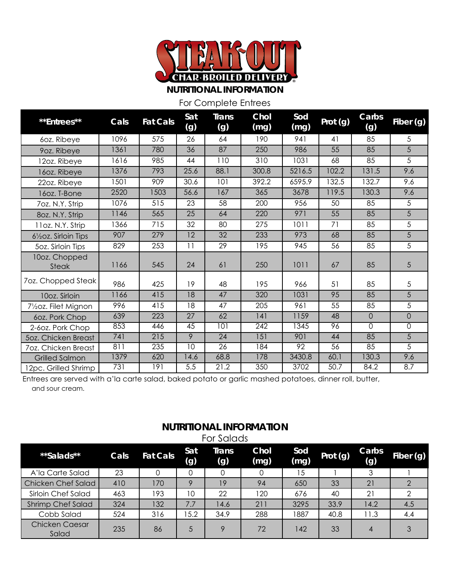

**NUTRITIONAL INFORMATION**

For Complete Entrees

| **Entrees**                                    | Cals | <b>Fat Cals</b> | Sat<br>(g)     | <b>Trans</b><br>(g) | Chol<br>(mg) | Sod<br>(mg) | Prot (g) | Carbs<br>(g)   | Fiber (g)      |
|------------------------------------------------|------|-----------------|----------------|---------------------|--------------|-------------|----------|----------------|----------------|
| 60z. Ribeye                                    | 1096 | 575             | 26             | 64                  | 190          | 941         | 41       | 85             | 5              |
| 9oz. Ribeye                                    | 1361 | 780             | 36             | 87                  | 250          | 986         | 55       | 85             | 5              |
| 12oz. Ribeye                                   | 1616 | 985             | 44             | 110                 | 310          | 1031        | 68       | 85             | 5              |
| 16oz. Ribeye                                   | 1376 | 793             | 25.6           | 88.1                | 300.8        | 5216.5      | 102.2    | 131.5          | 9.6            |
| 22oz. Ribeye                                   | 1501 | 909             | 30.6           | 101                 | 392.2        | 6595.9      | 132.5    | 132.7          | 9.6            |
| 16oz. T-Bone                                   | 2520 | 1503            | 56.6           | 167                 | 365          | 3678        | 119.5    | 130.3          | 9.6            |
| 7oz. N.Y. Strip                                | 1076 | 515             | 23             | 58                  | 200          | 956         | 50       | 85             | 5              |
| 8oz. N.Y. Strip                                | 1146 | 565             | 25             | 64                  | 220          | 971         | 55       | 85             | 5              |
| 11oz. N.Y. Strip                               | 1366 | 715             | 32             | 80                  | 275          | 1011        | 71       | 85             | 5              |
| 6 <sup>1</sup> / <sub>2</sub> Oz. Sirloin Tips | 907  | 279             | 12             | 32                  | 233          | 973         | 68       | 85             | 5              |
| 50z. Sirloin Tips                              | 829  | 253             | 11             | 29                  | 195          | 945         | 56       | 85             | 5              |
| 10oz. Chopped<br><b>Steak</b>                  | 1166 | 545             | 24             | 61                  | 250          | 1011        | 67       | 85             | 5              |
| 7oz. Chopped Steak                             | 986  | 425             | 19             | 48                  | 195          | 966         | 51       | 85             | 5              |
| 10oz. Sirloin                                  | 1166 | 415             | 18             | 47                  | 320          | 1031        | 95       | 85             | 5              |
| 71/ <sub>2</sub> 0z. Filet Mignon              | 996  | 415             | 18             | 47                  | 205          | 961         | 55       | 85             | 5              |
| 60z. Pork Chop                                 | 639  | 223             | 27             | 62                  | 141          | 1159        | 48       | $\overline{0}$ | $\overline{0}$ |
| 2-60z. Pork Chop                               | 853  | 446             | 45             | 101                 | 242          | 1345        | 96       | $\mathsf{O}$   | 0              |
| 50z. Chicken Breast                            | 741  | 215             | $\overline{9}$ | $\overline{24}$     | 151          | 901         | 44       | 85             | $\overline{5}$ |
| 7oz. Chicken Breast                            | 811  | 235             | 10             | 26                  | 184          | 92          | 56       | 85             | 5              |
| <b>Grilled Salmon</b>                          | 1379 | 620             | 14.6           | 68.8                | 178          | 3430.8      | 60.1     | 130.3          | 9.6            |
| 12pc. Grilled Shrimp                           | 731  | 191             | 5.5            | 21.2                | 350          | 3702        | 50.7     | 84.2           | 8.7            |

Entrees are served with a'la carte salad, baked potato or garlic mashed potatoes, dinner roll, butter, and sour cream.

#### **NUTRITIONAL INFORMATION** For Salads

| **Salads**                | Cals | <b>Fat Cals</b> | Sat<br>(g) | Trans<br>(g) | Chol<br>(mg) | Sod<br>(mg) | Prot (g) | Carbs<br>(g) | Fiber (g) |
|---------------------------|------|-----------------|------------|--------------|--------------|-------------|----------|--------------|-----------|
| A'la Carte Salad          | 23   |                 |            |              |              | 15          |          | 3            |           |
| <b>Chicken Chef Salad</b> | 410  | 170             | C          | 19           | 94           | 650         | 33       | 21           |           |
| Sirloin Chef Salad        | 463  | 193             | 10         | 22           | 120          | 676         | 40       | 21           |           |
| <b>Shrimp Chef Salad</b>  | 324  | 132             | 7.7        | 14.6         | 211          | 3295        | 33.9     | 14.2         | 4.5       |
| Cobb Salad                | 524  | 316             | 15.2       | 34.9         | 288          | 1887        | 40.8     | 11.3         | 4.4       |
| Chicken Caesar<br>Salad   | 235  | 86              | 5          | $\circ$      | 72           | 142         | 33       | 4            | 3         |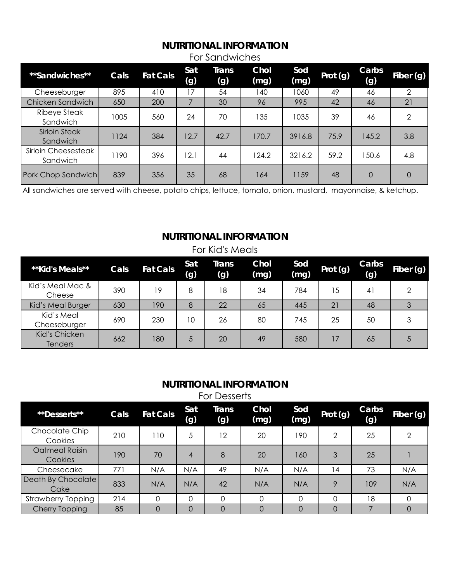#### **NUTRITIONAL INFORMATION** For Sandwiches

| **Sandwiches**                   | Cals | <b>Fat Cals</b> | Sat<br>(g) | Trans<br>(g) | Chol<br>(mg) | Sod<br>(mg) | Prot (g) | Carbs<br>(g) | Fiber (g)      |
|----------------------------------|------|-----------------|------------|--------------|--------------|-------------|----------|--------------|----------------|
| Cheeseburger                     | 895  | 410             | 17         | 54           | 140          | 1060        | 49       | 46           | $\mathcal{P}$  |
| Chicken Sandwich                 | 650  | 200             |            | 30           | 96           | 995         | 42       | 46           | 21             |
| Ribeye Steak<br>Sandwich         | 1005 | 560             | 24         | 70           | 135          | 1035        | 39       | 46           | $\overline{2}$ |
| <b>Sirloin Steak</b><br>Sandwich | 1124 | 384             | 12.7       | 42.7         | 170.7        | 3916.8      | 75.9     | 145.2        | 3.8            |
| Sirloin Cheesesteak<br>Sandwich  | 1190 | 396             | 12.1       | 44           | 124.2        | 3216.2      | 59.2     | 150.6        | 4.8            |
| Pork Chop Sandwich               | 839  | 356             | 35         | 68           | 164          | 1159        | 48       | $\Omega$     | 0              |

All sandwiches are served with cheese, potato chips, lettuce, tomato, onion, mustard, mayonnaise, & ketchup.

#### **NUTRITIONAL INFORMATION**

| For Kid's Meals                 |      |                 |            |              |              |             |          |              |           |
|---------------------------------|------|-----------------|------------|--------------|--------------|-------------|----------|--------------|-----------|
| **Kid's Meals**                 | Cals | <b>Fat Cals</b> | Sat<br>(g) | Trans<br>(g) | Chol<br>(mg) | Sod<br>(mg) | Prot (g) | Carbs<br>(g) | Fiber (g) |
| Kid's Meal Mac &<br>Cheese      | 390  | 19              | 8          | 18           | 34           | 784         | 15       | 41           | 2         |
| Kid's Meal Burger               | 630  | 190             | 8          | 22           | 65           | 445         | 21       | 48           |           |
| Kid's Meal<br>Cheeseburger      | 690  | 230             | 10         | 26           | 80           | 745         | 25       | 50           | 3         |
| Kid's Chicken<br><b>Tenders</b> | 662  | 180             | 5          | 20           | 49           | 580         | 17       | 65           | 5         |

#### **NUTRITIONAL INFORMATION**

For Desserts

| **Desserts**               | Cals | <b>Fat Cals</b> | Sat<br>(g) | Trans<br>(g)      | Chol<br>(mg) | Sod<br>(mg) | Prot (g)       | Carbs<br>(g) | Fiber (g) |
|----------------------------|------|-----------------|------------|-------------------|--------------|-------------|----------------|--------------|-----------|
| Chocolate Chip<br>Cookies  | 210  | 110             | 5          | $12 \overline{ }$ | 20           | 190         | $\overline{2}$ | 25           | ↷         |
| Oatmeal Raisin<br>Cookies  | 190  | 70              | 4          | 8                 | 20           | 160         | 3              | 25           |           |
| Cheesecake                 | 771  | N/A             | N/A        | 49                | N/A          | N/A         | 14             | 73           | N/A       |
| Death By Chocolate<br>Cake | 833  | N/A             | N/A        | 42                | N/A          | N/A         | 9              | 109          | N/A       |
| <b>Strawberry Topping</b>  | 214  | 0               | Ω          |                   | 0            | $\Omega$    | $\Omega$       | 18           | 0         |
| <b>Cherry Topping</b>      | 85   | O               | 0          |                   | 0            | 0           | $\Omega$       |              |           |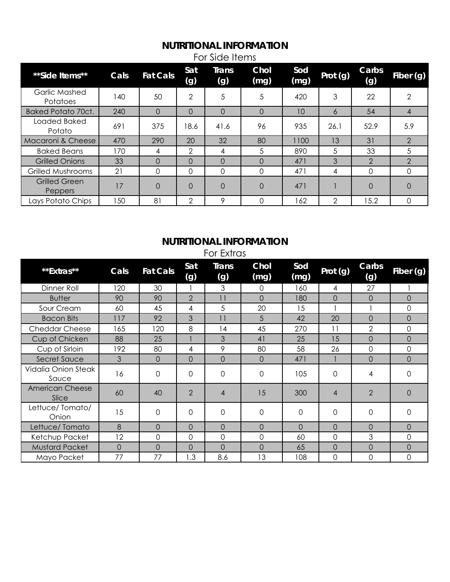# **NUTRITIONAL INFORMATION**

| **Side Items**                   | Cals | <b>Fat Cals</b> | Sat<br>(g)    | <b>Trans</b><br>(g) | Chol<br>(mg) | Sod<br>(mg) | Prot (g)       | Carbs<br>(g)  | Fiber (g)      |
|----------------------------------|------|-----------------|---------------|---------------------|--------------|-------------|----------------|---------------|----------------|
| Garlic Mashed<br><b>Potatoes</b> | 140  | 50              | 2             | 5                   | 5            | 420         | 3              | 22            | 2              |
| Baked Potato 70ct.               | 240  | 0               | 0             | $\Omega$            | $\Omega$     | 10          | 6              | 54            | 4              |
| Loaded Baked<br>Potato           | 691  | 375             | 18.6          | 41.6                | 96           | 935         | 26.1           | 52.9          | 5.9            |
| Macaroni & Cheese                | 470  | 290             | 20            | 32                  | 80           | 1100        | 13             | 31            | $\mathcal{P}$  |
| <b>Baked Beans</b>               | 170  | 4               | $\mathcal{P}$ | 4                   | 5            | 890         | 5              | 33            | 5              |
| <b>Grilled Onions</b>            | 33   | $\Omega$        | $\Omega$      | $\Omega$            | $\Omega$     | 471         | 3              | $\mathcal{P}$ | $\overline{2}$ |
| Grilled Mushrooms                | 21   | 0               | 0             | 0                   | 0            | 471         | 4              | 0             | 0              |
| Grilled Green<br><b>Peppers</b>  | 17   | 0               | 0             | $\Omega$            | $\Omega$     | 471         |                | $\Omega$      | $\Omega$       |
| Lays Potato Chips                | 50   | 81              | $\mathcal{P}$ | 9                   | 0            | 162         | $\overline{2}$ | 15.2          | 0              |

For Side Items

# **NUTRITIONAL INFORMATION**

For Extras

| **Extras**                      | Cals     | <b>Fat Cals</b> | Sat<br>(g)     | <b>Trans</b><br>(g) | Chol<br>(mg) | Sod<br>(mg) | Prot (g)       | Carbs<br>(g)   | Fiber (g)    |
|---------------------------------|----------|-----------------|----------------|---------------------|--------------|-------------|----------------|----------------|--------------|
| Dinner Roll                     | 120      | 30              |                | 3                   | 0            | 160         | 4              | 27             |              |
| <b>Butter</b>                   | 90       | 90              | $\overline{2}$ | 11                  | 0            | 180         | $\overline{0}$ | $\overline{O}$ | $\Omega$     |
| Sour Cream                      | 60       | 45              | 4              | 5                   | 20           | 15          |                |                | $\mathbf{0}$ |
| <b>Bacon Bits</b>               | 117      | 92              | 3              | 11                  | 5            | 42          | 20             | $\Omega$       | $\Omega$     |
| <b>Cheddar Cheese</b>           | 165      | 120             | 8              | 14                  | 45           | 270         | 11             | $\overline{2}$ | $\mathbf{O}$ |
| Cup of Chicken                  | 88       | 25              |                | 3                   | 41           | 25          | 15             | $\overline{0}$ | $\Omega$     |
| Cup of Sirloin                  | 192      | 80              | 4              | 9                   | 80           | 58          | 26             | 0              | $\Omega$     |
| Secret Sauce                    | 3        | 0               | 0              | $\overline{0}$      | $\Omega$     | 471         |                | $\overline{0}$ | $\Omega$     |
| Vidalia Onion Steak<br>Sauce    | 16       | 0               | 0              | $\Omega$            | 0            | 105         | $\Omega$       | 4              | $\Omega$     |
| <b>American Cheese</b><br>Slice | 60       | 40              | $\overline{2}$ | $\overline{4}$      | 15           | 300         | $\overline{4}$ | $\overline{2}$ | $\Omega$     |
| Lettuce/Tomato/<br>Onion        | 15       | 0               | 0              | 0                   | 0            | 0           | $\Omega$       | $\Omega$       | $\Omega$     |
| Lettuce/Tomato                  | 8        | 0               | 0              | $\Omega$            | 0            | 0           | $\Omega$       | $\Omega$       | $\Omega$     |
| Ketchup Packet                  | 12       | 0               | 0              | $\mathbf{O}$        | 0            | 60          | 0              | 3              | $\mathbf{0}$ |
| <b>Mustard Packet</b>           | $\Omega$ | 0               | 0              | $\Omega$            | $\Omega$     | 65          | $\Omega$       | $\overline{O}$ | $\Omega$     |
| Mayo Packet                     | 77       | 77              | I.3            | 8.6                 | 13           | 108         | $\Omega$       | 0              | $\Omega$     |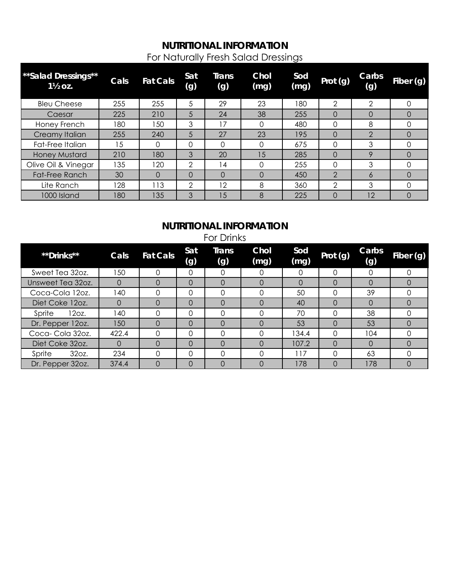# **NUTRITIONAL INFORMATION** For Naturally Fresh Salad Dressings

| **Salad Dressings**<br>$1\frac{1}{2}$ OZ. | Cals | <b>Fat Cals</b> | Sat<br>(g)    | <b>Trans</b><br>(g) | <b>Chol</b><br>(mg) | Sod<br>(mg) | Prot (g)      | Carbs<br>(g)  | Fiber (g) |
|-------------------------------------------|------|-----------------|---------------|---------------------|---------------------|-------------|---------------|---------------|-----------|
| <b>Bleu Cheese</b>                        | 255  | 255             | 5             | 29                  | 23                  | 180         | 2             | 2             | 0         |
| Caesar                                    | 225  | 210             | 5             | 24                  | 38                  | 255         | $\Omega$      | 0             | O         |
| Honey French                              | 180  | -50             | 3             | 17                  | 0                   | 480         | $\Omega$      | 8             | Ω         |
| Creamy Italian                            | 255  | 240             | 5             | 27                  | 23                  | 195         | $\Omega$      | $\mathcal{P}$ | O         |
| Fat-Free Italian                          | 15   | 0               | 0             | Ω                   | 0                   | 675         | $\Omega$      | 3             |           |
| <b>Honey Mustard</b>                      | 210  | 180             | 3             | 20                  | 15                  | 285         | $\Omega$      | 9             | 0         |
| Olive Oil & Vinegar                       | 135  | 20              | $\mathcal{P}$ | 14                  | 0                   | 255         | $\Omega$      | 3             | ი         |
| <b>Fat-Free Ranch</b>                     | 30   | $\Omega$        | $\Omega$      | 0                   | $\Omega$            | 450         | $\mathcal{P}$ | 6             | O         |
| Lite Ranch                                | 128  | $\overline{13}$ | $\mathcal{D}$ | 12                  | 8                   | 360         | $\mathcal{P}$ | 3             |           |
| 1000 Island                               | 180  | 135             | 3             | 15                  | 8                   | 225         | 0             | 12            | 0         |

# **NUTRITIONAL INFORMATION**

| <b>For Drinks</b> |          |                 |            |              |              |             |          |              |           |  |
|-------------------|----------|-----------------|------------|--------------|--------------|-------------|----------|--------------|-----------|--|
| **Drinks**        | Cals     | <b>Fat Cals</b> | Sat<br>(g) | Trans<br>(g) | Chol<br>(mg) | Sod<br>(mg) | Prot (g) | Carbs<br>(g) | Fiber (g) |  |
| Sweet Tea 32oz.   | 50       | $\Omega$        | 0          | 0            | 0            | 0           | 0        | $\Omega$     | $\Omega$  |  |
| Unsweet Tea 32oz. | $\Omega$ | $\Omega$        | $\Omega$   | 0            | $\Omega$     | $\Omega$    | $\Omega$ | $\Omega$     | $\Omega$  |  |
| Coca-Cola 12oz.   | 140      | Ω               | $\Omega$   | 0            | 0            | 50          | 0        | 39           |           |  |
| Diet Coke 12oz.   | 0        | $\Omega$        | $\Omega$   | $\Omega$     | $\Omega$     | 40          | $\Omega$ | $\Omega$     | $\Omega$  |  |
| 12oz.<br>Sprite   | l 40     | $\Omega$        | $\Omega$   | 0            | $\Omega$     | 70          | $\Omega$ | 38           | ∩         |  |
| Dr. Pepper 12oz.  | 150      | $\Omega$        | $\Omega$   | $\Omega$     | $\Omega$     | 53          | $\Omega$ | 53           | $\Omega$  |  |
| Coca-Cola 32oz.   | 422.4    |                 | $\Omega$   | Ω            | $\Omega$     | 134.4       | $\Omega$ | 104          |           |  |
| Diet Coke 32oz.   | $\Omega$ | $\Omega$        | $\Omega$   | $\Omega$     | $\Omega$     | 107.2       | $\Omega$ | $\Omega$     | $\Omega$  |  |
| 32oz.<br>Sprite   | 234      | $\Omega$        | $\Omega$   | 0            | $\Omega$     | 117         | $\Omega$ | 63           | ∩         |  |
| Dr. Pepper 32oz.  | 374.4    | $\Omega$        | $\Omega$   | 0            | $\Omega$     | 178         | $\Omega$ | 178          | $\Omega$  |  |